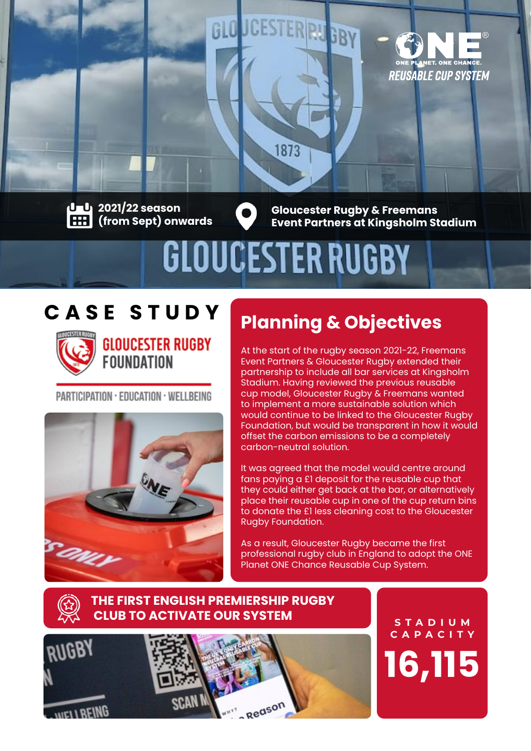

**2021/22 season (from Sept) onwards**

**Gloucester Rugby & Freemans Event Partners at Kingsholm Stadium**

# GLOUCESTER RUGBY

1873

STERRU<sub>GBY</sub>

## **CASE STUDY**



**GLOUCESTER RUGBY FOUNDATION** 

PARTICIPATION · EDUCATION · WELLBEING



# **Planning & Objectives**

At the start of the rugby season 2021-22, Freemans Event Partners & Gloucester Rugby extended their partnership to include all bar services at Kingsholm Stadium. Having reviewed the previous reusable cup model, Gloucester Rugby & Freemans wanted to implement a more sustainable solution which would continue to be linked to the Gloucester Rugby Foundation, but would be transparent in how it would offset the carbon emissions to be a completely carbon-neutral solution.

It was agreed that the model would centre around fans paying a £1 deposit for the reusable cup that they could either get back at the bar, or alternatively place their reusable cup in one of the cup return bins to donate the £1 less cleaning cost to the Gloucester Rugby Foundation.

As a result, Gloucester Rugby became the first professional rugby club in England to adopt the ONE Planet ONE Chance Reusable Cup System.

#### **THE FIRST ENGLISH PREMIERSHIP RUGBY CLUB TO ACTIVATE OUR SYSTEM**



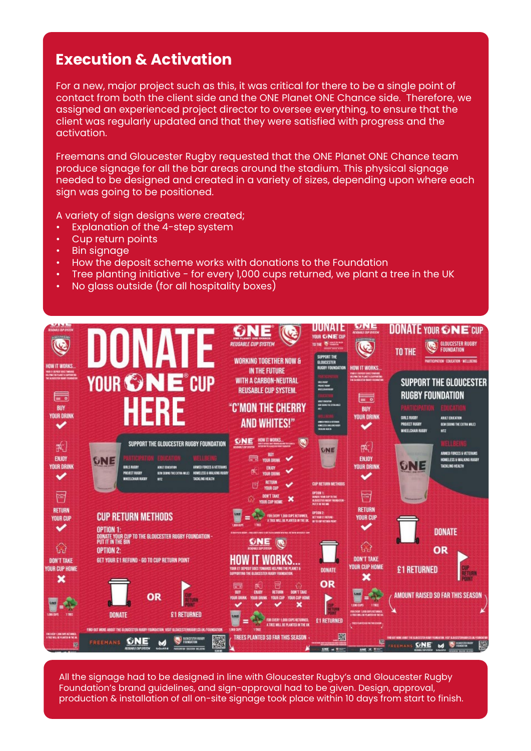## **Execution & Activation**

For a new, major project such as this, it was critical for there to be a single point of contact from both the client side and the ONE Planet ONE Chance side. Therefore, we assigned an experienced project director to oversee everything, to ensure that the client was regularly updated and that they were satisfied with progress and the activation.

Freemans and Gloucester Rugby requested that the ONE Planet ONE Chance team produce signage for all the bar areas around the stadium. This physical signage needed to be designed and created in a variety of sizes, depending upon where each sign was going to be positioned.

A variety of sign designs were created;

- Explanation of the 4-step system
- Cup return points
- **Bin signage**
- How the deposit scheme works with donations to the Foundation
- Tree planting initiative for every 1,000 cups returned, we plant a tree in the UK
- No glass outside (for all hospitality boxes)



All the signage had to be designed in line with Gloucester Rugby's and Gloucester Rugby Foundation's brand guidelines, and sign-approval had to be given. Design, approval, production & installation of all on-site signage took place within 10 days from start to finish.